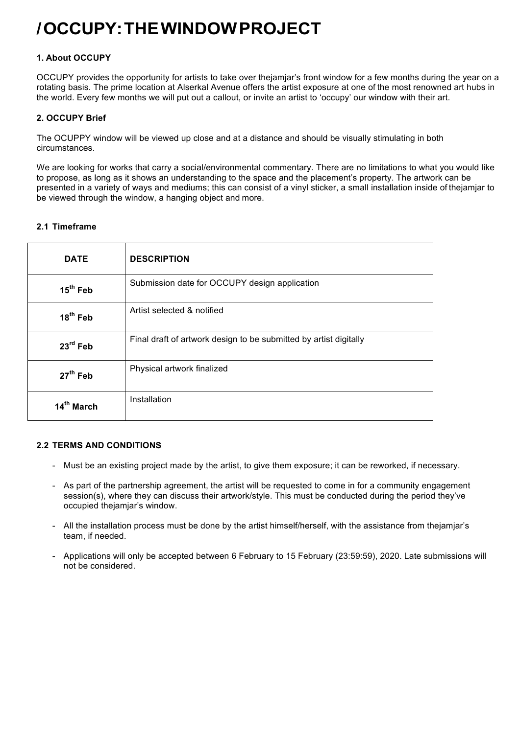# **/OCCUPY:THEWINDOWPROJECT**

## **1. About OCCUPY**

OCCUPY provides the opportunity for artists to take over thejamjar's front window for a few months during the year on a rotating basis. The prime location at Alserkal Avenue offers the artist exposure at one of the most renowned art hubs in the world. Every few months we will put out a callout, or invite an artist to 'occupy' our window with their art.

## **2. OCCUPY Brief**

The OCUPPY window will be viewed up close and at a distance and should be visually stimulating in both circumstances.

We are looking for works that carry a social/environmental commentary. There are no limitations to what you would like to propose, as long as it shows an understanding to the space and the placement's property. The artwork can be presented in a variety of ways and mediums; this can consist of a vinyl sticker, a small installation inside of thejamjar to be viewed through the window, a hanging object and more.

## **2.1 Timeframe**

| <b>DATE</b>          | <b>DESCRIPTION</b>                                                |  |  |
|----------------------|-------------------------------------------------------------------|--|--|
| $15^{th}$ Feb        | Submission date for OCCUPY design application                     |  |  |
| 18 <sup>th</sup> Feb | Artist selected & notified                                        |  |  |
| $23^{\text{rd}}$ Feb | Final draft of artwork design to be submitted by artist digitally |  |  |
| $27th$ Feb           | Physical artwork finalized                                        |  |  |
| 14th March           | Installation                                                      |  |  |

#### **2.2 TERMS AND CONDITIONS**

- Must be an existing project made by the artist, to give them exposure; it can be reworked, if necessary.
- As part of the partnership agreement, the artist will be requested to come in for a community engagement session(s), where they can discuss their artwork/style. This must be conducted during the period they've occupied thejamjar's window.
- All the installation process must be done by the artist himself/herself, with the assistance from thejamjar's team, if needed.
- Applications will only be accepted between 6 February to 15 February (23:59:59), 2020. Late submissions will not be considered.